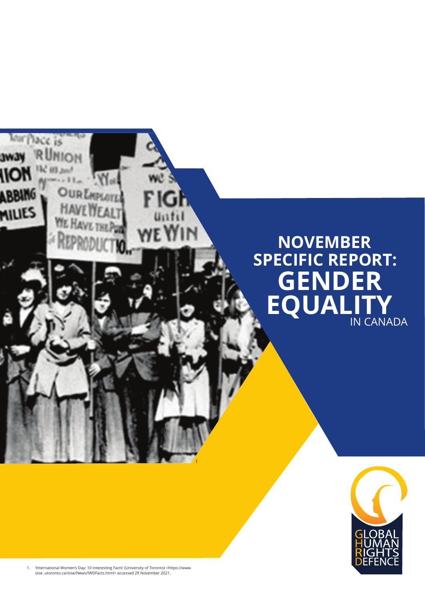## lace is ₩ **OupE ABBING**  $\mathsf{M}$ **MILIES NOVEMBER SPECIFIC REPORT: GENDER EQUALITY** IN CANADA

1



1. 'International Women's Day: 10 Interesting Facts' (University of Toronto) <https://www. oise. utoronto.ca/oise/News/IWDFacts.html> accessed 29 November 2021.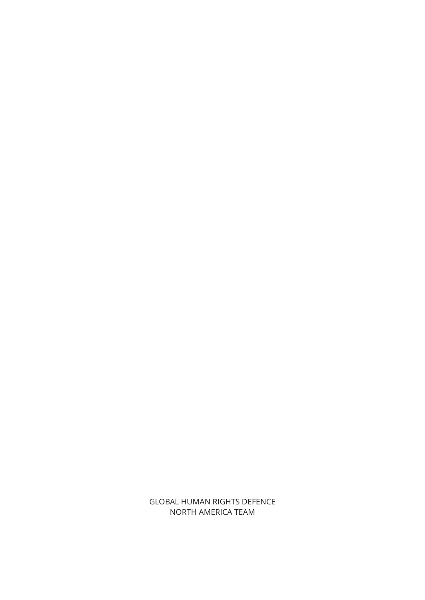GLOBAL HUMAN RIGHTS DEFENCE NORTH AMERICA TEAM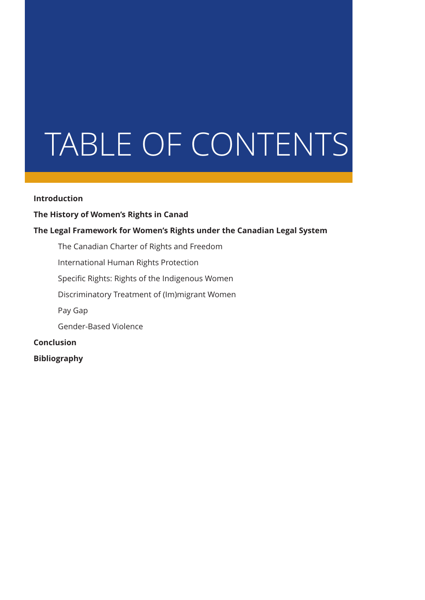# TABLE OF CONTENTS

#### **Introduction**

#### **The History of Women's Rights in Canad**

#### **The Legal Framework for Women's Rights under the Canadian Legal System**

The Canadian Charter of Rights and Freedom

International Human Rights Protection

Specific Rights: Rights of the Indigenous Women

Discriminatory Treatment of (Im)migrant Women

Pay Gap

Gender-Based Violence

**Conclusion**

**Bibliography**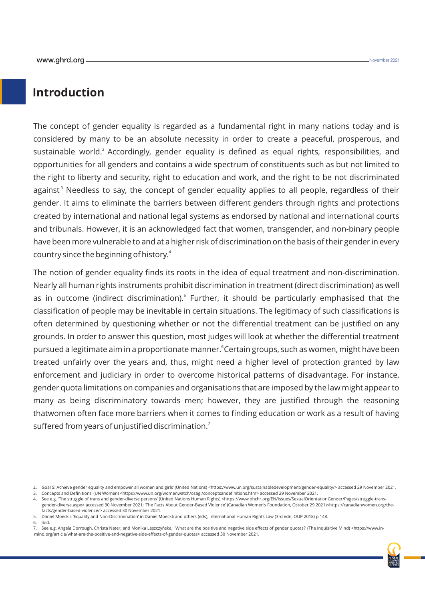#### **Introduction**

The concept of gender equality is regarded as a fundamental right in many nations today and is considered by many to be an absolute necessity in order to create a peaceful, prosperous, and sustainable world.<sup>2</sup> Accordingly, gender equality is defined as equal rights, responsibilities, and opportunities for all genders and contains a wide spectrum of constituents such as but not limited to the right to liberty and security, right to education and work, and the right to be not discriminated against<sup>3</sup> Needless to say, the concept of gender equality applies to all people, regardless of their gender. It aims to eliminate the barriers between different genders through rights and protections created by international and national legal systems as endorsed by national and international courts and tribunals. However, it is an acknowledged fact that women, transgender, and non-binary people have been more vulnerable to and at a higher risk of discrimination on the basis of their gender in every country since the beginning of history.<sup>4</sup>

The notion of gender equality finds its roots in the idea of equal treatment and non-discrimination. Nearly all human rights instruments prohibit discrimination in treatment (direct discrimination) as well as in outcome (indirect discrimination).<sup>5</sup> Further, it should be particularly emphasised that the classification of people may be inevitable in certain situations. The legitimacy of such classifications is often determined by questioning whether or not the differential treatment can be justified on any grounds. In order to answer this question, most judges will look at whether the differential treatment pursued a legitimate aim in a proportionate manner. <sup>6</sup> Certain groups, such as women, might have been treated unfairly over the years and, thus, might need a higher level of protection granted by law enforcement and judiciary in order to overcome historical patterns of disadvantage. For instance, gender quota limitations on companies and organisations that are imposed by the law might appear to many as being discriminatory towards men; however, they are justified through the reasoning thatwomen often face more barriers when it comes to finding education or work as a result of having suffered from years of unjustified discrimination. $^7$ 

<sup>7.</sup> See e.g. Angela Dorrough, Christa Nater, and Monika Leszczyńska, 'What are the positive and negative side effects of gender quotas?' (The Inquisitive Mind) <https://www.inmind.org/article/what-are-the-positive-and-negative-side-effects-of-gender-quotas> accessed 30 November 2021.



<sup>2.</sup> Goal 5: Achieve gender equality and empower all women and girls' (United Nations) <https://www.un.org/sustainabledevelopment/gender-equality/> accessed 29 November 2021.

<sup>3.</sup> Concepts and Definitions' (UN Women) <https://www.un.org/womenwatch/osagi/conceptsandefinitions.htm> accessed 29 November 2021.

<sup>4.</sup> See e.g. 'The struggle of trans and gender-diverse persons' (United Nations Human Rights) <https://www.ohchr.org/EN/Issues/SexualOrientationGender/Pages/struggle-transgender-diverse.aspx> accessed 30 November 2021; 'The Facts About Gender-Based Violence' (Canadian Women's Foundation, October 29 2021)<https://canadianwomen.org/thefacts/gender-based-violence/> accessed 30 November 2021.

<sup>5.</sup> Daniel Moeckli, 'Equality and Non-Discrimination' in Daniel Moeckli and others (eds), International Human Rights Law (3rd edn, OUP 2018) p 148.

<sup>6.</sup> Ibid.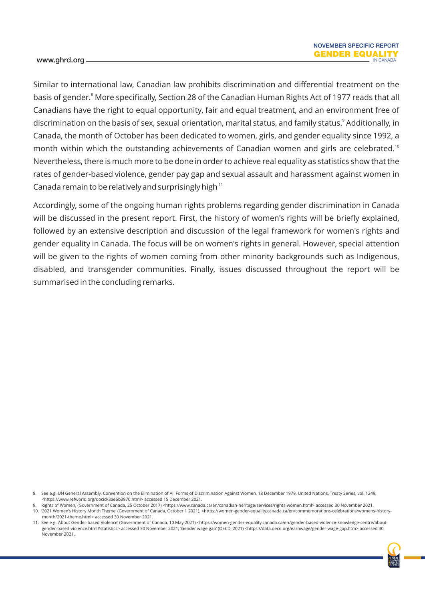Similar to international law, Canadian law prohibits discrimination and differential treatment on the basis of gender.<sup>8</sup> More specifically, Section 28 of the Canadian Human Rights Act of 1977 reads that all Canadians have the right to equal opportunity, fair and equal treatment, and an environment free of discrimination on the basis of sex, sexual orientation, marital status, and family status.<sup>9</sup> Additionally, in Canada, the month of October has been dedicated to women, girls, and gender equality since 1992, a month within which the outstanding achievements of Canadian women and girls are celebrated.<sup>10</sup> Nevertheless, there is much more to be done in order to achieve real equality as statistics show that the rates of gender-based violence, gender pay gap and sexual assault and harassment against women in Canada remain to be relatively and surprisingly high $11$ 

Accordingly, some of the ongoing human rights problems regarding gender discrimination in Canada will be discussed in the present report. First, the history of women's rights will be briefly explained, followed by an extensive description and discussion of the legal framework for women's rights and gender equality in Canada. The focus will be on women's rights in general. However, special attention will be given to the rights of women coming from other minority backgrounds such as Indigenous, disabled, and transgender communities. Finally, issues discussed throughout the report will be summarised in the concluding remarks.

<sup>11.</sup> See e.g. 'About Gender-based Violence' (Government of Canada, 10 May 2021) <https://women-gender-equality.canada.ca/en/gender-based-violence-knowledge-centre/aboutgender-based-violence.html#statistics> accessed 30 November 2021; 'Gender wage gap' (OECD, 2021) <https://data.oecd.org/earnwage/gender-wage-gap.htm> accessed 30 November 2021.



<sup>8.</sup> See e.g. UN General Assembly, Convention on the Elimination of All Forms of Discrimination Against Women, 18 December 1979, United Nations, Treaty Series, vol. 1249, <https://www.refworld.org/docid/3ae6b3970.html> accessed 15 December 2021.

Rights of Women, (Government of Canada, 25 October 2017) <https://www.canada.ca/en/canadian-heritage/services/rights-women.html> accessed 30 November 2021. 10. '2021 Women's History Month Theme' (Government of Canada, October 1 2021). <https://women-gender-equality.canada.ca/en/commemorations-celebrations/womens-historymonth/2021-theme.html> accessed 30 November 2021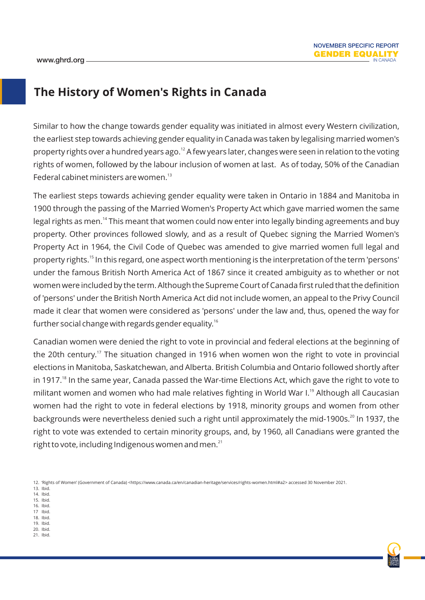#### **The History of Women's Rights in Canada**

Similar to how the change towards gender equality was initiated in almost every Western civilization, the earliest step towards achieving gender equality in Canada was taken by legalising married women's property rights over a hundred years ago.<sup>12</sup> A few years later, changes were seen in relation to the voting rights of women, followed by the labour inclusion of women at last. As of today, 50% of the Canadian Federal cabinet ministers are women. $^{13}$ 

The earliest steps towards achieving gender equality were taken in Ontario in 1884 and Manitoba in 1900 through the passing of the Married Women's Property Act which gave married women the same legal rights as men.<sup>14</sup> This meant that women could now enter into legally binding agreements and buy property. Other provinces followed slowly, and as a result of Quebec signing the Married Women's Property Act in 1964, the Civil Code of Quebec was amended to give married women full legal and property rights.<sup>15</sup> In this regard, one aspect worth mentioning is the interpretation of the term 'persons' under the famous British North America Act of 1867 since it created ambiguity as to whether or not women were included by the term. Although the Supreme Court of Canada first ruled that the definition of 'persons' under the British North America Act did not include women, an appeal to the Privy Council made it clear that women were considered as 'persons' under the law and, thus, opened the way for further social change with regards gender equality.<sup>16</sup>

Canadian women were denied the right to vote in provincial and federal elections at the beginning of the 20th century.<sup>17</sup> The situation changed in 1916 when women won the right to vote in provincial elections in Manitoba, Saskatchewan, and Alberta. British Columbia and Ontario followed shortly after in 1917.<sup>18</sup> In the same year, Canada passed the War-time Elections Act, which gave the right to vote to militant women and women who had male relatives fighting in World War I.<sup>19</sup> Although all Caucasian women had the right to vote in federal elections by 1918, minority groups and women from other backgrounds were nevertheless denied such a right until approximately the mid-1900s.<sup>20</sup> In 1937, the right to vote was extended to certain minority groups, and, by 1960, all Canadians were granted the right to vote, including Indigenous women and men. $^{21}$ 

- 13. Ibid. 14. Ibid.
- 15. Ibid.
- 16. Ibid. 17 Ibid.
- 18. Ibid.
- 19. Ibid. 20. Ibid.
- 21. Ibid.



<sup>12. &#</sup>x27;Rights of Women' (Government of Canada) <https://www.canada.ca/en/canadian-heritage/services/rights-women.html#a2> accessed 30 November 2021.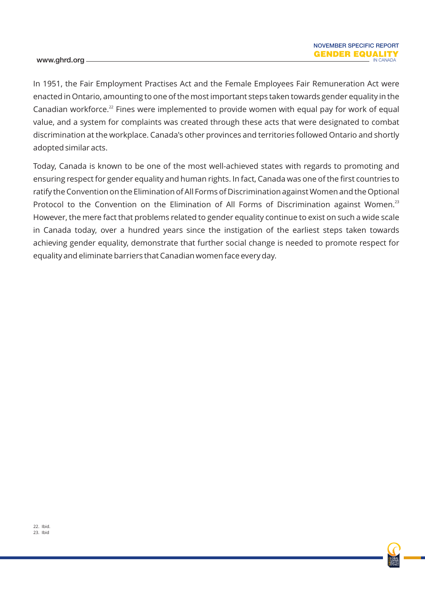In 1951, the Fair Employment Practises Act and the Female Employees Fair Remuneration Act were enacted in Ontario, amounting to one of the most important steps taken towards gender equality in the Canadian workforce.<sup>22</sup> Fines were implemented to provide women with equal pay for work of equal value, and a system for complaints was created through these acts that were designated to combat discrimination at the workplace. Canada's other provinces and territories followed Ontario and shortly adopted similar acts.

Today, Canada is known to be one of the most well-achieved states with regards to promoting and ensuring respect for gender equality and human rights. In fact, Canada was one of the first countries to ratify the Convention on the Elimination of All Forms of Discrimination against Women and the Optional Protocol to the Convention on the Elimination of All Forms of Discrimination against Women.<sup>23</sup> However, the mere fact that problems related to gender equality continue to exist on such a wide scale in Canada today, over a hundred years since the instigation of the earliest steps taken towards achieving gender equality, demonstrate that further social change is needed to promote respect for equality and eliminate barriers that Canadian women face every day.

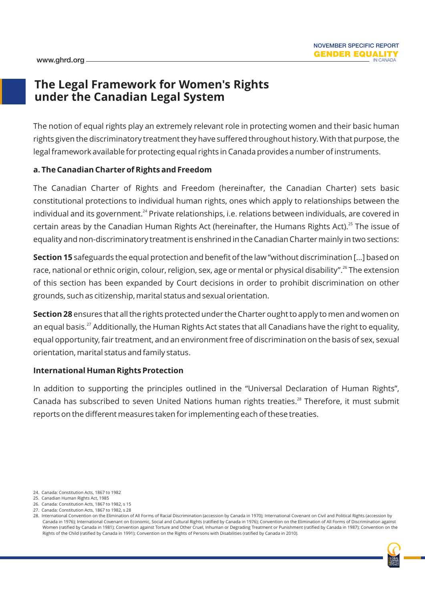#### **The Legal Framework for Women's Rights under the Canadian Legal System**

The notion of equal rights play an extremely relevant role in protecting women and their basic human rights given the discriminatory treatment they have suffered throughout history. With that purpose, the legal framework available for protecting equal rights in Canada provides a number of instruments.

#### **a. The Canadian Charter of Rights and Freedom**

The Canadian Charter of Rights and Freedom (hereinafter, the Canadian Charter) sets basic constitutional protections to individual human rights, ones which apply to relationships between the individual and its government.<sup>24</sup> Private relationships, i.e. relations between individuals, are covered in certain areas by the Canadian Human Rights Act (hereinafter, the Humans Rights Act).<sup>25</sup> The issue of equality and non-discriminatory treatment is enshrined in the Canadian Charter mainly in two sections:

**Section 15** safeguards the equal protection and benefit of the law "without discrimination […] based on race, national or ethnic origin, colour, religion, sex, age or mental or physical disability".<sup>26</sup> The extension of this section has been expanded by Court decisions in order to prohibit discrimination on other grounds, such as citizenship, marital status and sexual orientation.

**Section 28** ensures that all the rights protected under the Charter ought to apply to men and women on an equal basis.<sup>27</sup> Additionally, the Human Rights Act states that all Canadians have the right to equality, equal opportunity, fair treatment, and an environment free of discrimination on the basis of sex, sexual orientation, marital status and family status.

#### **International Human Rights Protection**

In addition to supporting the principles outlined in the "Universal Declaration of Human Rights", Canada has subscribed to seven United Nations human rights treaties.<sup>28</sup> Therefore, it must submit reports on the different measures taken for implementing each of these treaties.

<sup>28.</sup> International Convention on the Elimination of All Forms of Racial Discrimination (accession by Canada in 1970); International Covenant on Civil and Political Rights (accession by Canada in 1976); International Covenant on Economic, Social and Cultural Rights (ratified by Canada in 1976); Convention on the Elimination of All Forms of Discrimination against Women (ratified by Canada in 1981); Convention against Torture and Other Cruel, Inhuman or Degrading Treatment or Punishment (ratified by Canada in 1987); Convention on the Rights of the Child (ratified by Canada in 1991); Convention on the Rights of Persons with Disabilities (ratified by Canada in 2010).



<sup>24.</sup> Canada: Constitution Acts, 1867 to 1982

<sup>25.</sup> Canadian Human Rights Act, 1985

<sup>26.</sup> Canada: Constitution Acts, 1867 to 1982, s 15

<sup>27.</sup> Canada: Constitution Acts, 1867 to 1982, s 28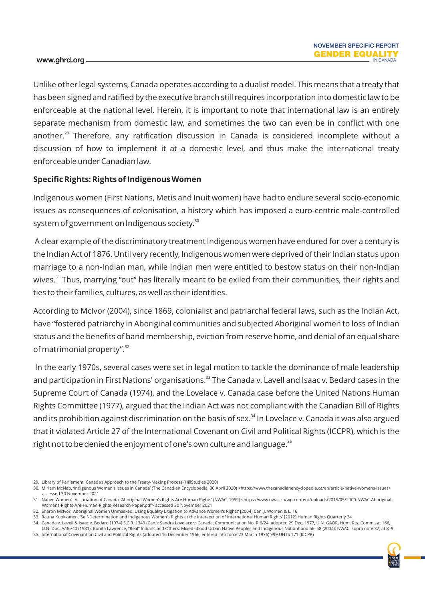Unlike other legal systems, Canada operates according to a dualist model. This means that a treaty that has been signed and ratified by the executive branch still requires incorporation into domestic law to be enforceable at the national level. Herein, it is important to note that international law is an entirely separate mechanism from domestic law, and sometimes the two can even be in conflict with one another.<sup>29</sup> Therefore, any ratification discussion in Canada is considered incomplete without a discussion of how to implement it at a domestic level, and thus make the international treaty enforceable under Canadian law.

#### **Specific Rights: Rights of Indigenous Women**

Indigenous women (First Nations, Metis and Inuit women) have had to endure several socio-economic issues as consequences of colonisation, a history which has imposed a euro-centric male-controlled system of government on Indigenous society.<sup>30</sup>

A clear example of the discriminatory treatment Indigenous women have endured for over a century is the Indian Act of 1876. Until very recently, Indigenous women were deprived of their Indian status upon marriage to a non-Indian man, while Indian men were entitled to bestow status on their non-Indian wives.<sup>31</sup> Thus, marrying "out" has literally meant to be exiled from their communities, their rights and ties to their families, cultures, as well as their identities.

According to McIvor (2004), since 1869, colonialist and patriarchal federal laws, such as the Indian Act, have "fostered patriarchy in Aboriginal communities and subjected Aboriginal women to loss of Indian status and the benefits of band membership, eviction from reserve home, and denial of an equal share of matrimonial property". $32$ 

In the early 1970s, several cases were set in legal motion to tackle the dominance of male leadership and participation in First Nations' organisations.<sup>33</sup> The Canada v. Lavell and Isaac v. Bedard cases in the Supreme Court of Canada (1974), and the Lovelace v. Canada case before the United Nations Human Rights Committee (1977), argued that the Indian Act was not compliant with the Canadian Bill of Rights and its prohibition against discrimination on the basis of sex.<sup>34</sup> In Lovelace v. Canada it was also argued that it violated Article 27 of the International Covenant on Civil and Political Rights (ICCPR), which is the right not to be denied the enjoyment of one's own culture and language. $35$ 

29. Library of Parliament, Canada's Approach to the Treaty-Making Process (HillStudies 2020)

<sup>34.</sup> Canada v. Lavell & Isaac v. Bedard [1974] S.C.R. 1349 (Can.); Sandra Lovelace v. Canada, Communication No. R.6/24, adopted 29 Dec. 1977, U.N. GAOR, Hum. Rts. Comm., at 166, U.N. Doc. A/36/40 (1981); Bonita Lawrence, "Real" Indians and Others: Mixed–Blood Urban Native Peoples and Indigenous Nationhood 56–58 (2004); NWAC, supra note 37, at 8–9. 35. International Covenant on Civil and Political Rights (adopted 16 December 1966, entered into force 23 March 1976) 999 UNTS 171 (ICCPR)



<sup>30.</sup> Miriam McNab, 'Indigenous Women's Issues in Canada' (The Canadian Encyclopedia, 30 April 2020) <https://www.thecanadianencyclopedia.ca/en/article/native-womens-issues> accessed 30 November 2021

<sup>31.</sup> Native Women's Association of Canada, 'Aboriginal Women's Rights Are Human Rights' (NWAC, 1999) <https://www.nwac.ca/wp-content/uploads/2015/05/2000-NWAC-Aboriginal-Womens-Rights-Are-Human-Rights-Research-Paper.pdf> accessed 30 November 2021

<sup>32.</sup> Sharon McIvor, 'Aboriginal Women Unmasked: Using Equality Litigation to Advance Women's Rights' [2004] Can. J. Women & L. 16

<sup>33.</sup> Rauna Kuokkanen, 'Self-Determination and Indigenous Women's Rights at the Intersection of International Human Rights' [2012] Human Rights Quarterly 34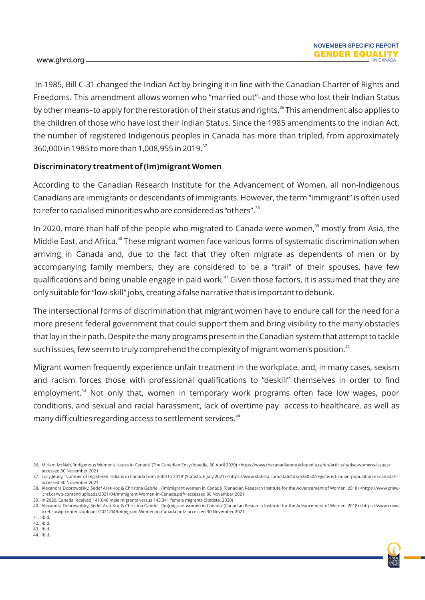In 1985, Bill C-31 changed the Indian Act by bringing it in line with the Canadian Charter of Rights and Freedoms. This amendment allows women who "married out"–and those who lost their Indian Status by other means–to apply for the restoration of their status and rights.<sup>36</sup> This amendment also applies to the children of those who have lost their Indian Status. Since the 1985 amendments to the Indian Act, the number of registered Indigenous peoples in Canada has more than tripled, from approximately 360,000 in 1985 to more than 1,008,955 in 2019.<sup>37</sup>

#### **Discriminatory treatment of (Im)migrant Women**

According to the Canadian Research Institute for the Advancement of Women, all non-Indigenous Canadians are immigrants or descendants of immigrants. However, the term "immigrant" is often used to refer to racialised minorities who are considered as "others".<sup>38</sup>

In 2020, more than half of the people who migrated to Canada were women,<sup>39</sup> mostly from Asia, the Middle East, and Africa.<sup>40</sup> These migrant women face various forms of systematic discrimination when arriving in Canada and, due to the fact that they often migrate as dependents of men or by accompanying family members, they are considered to be a "trail" of their spouses, have few qualifications and being unable engage in paid work.<sup>41</sup> Given those factors, it is assumed that they are only suitable for "low-skill" jobs, creating a false narrative that is important to debunk.

The intersectional forms of discrimination that migrant women have to endure call for the need for a more present federal government that could support them and bring visibility to the many obstacles that lay in their path. Despite the many programs present in the Canadian system that attempt to tackle such issues, few seem to truly comprehend the complexity of migrant women's position. $42$ 

Migrant women frequently experience unfair treatment in the workplace, and, in many cases, sexism and racism forces those with professional qualifications to "deskill" themselves in order to find employment.<sup>43</sup> Not only that, women in temporary work programs often face low wages, poor conditions, and sexual and racial harassment, lack of overtime pay access to healthcare, as well as many difficulties regarding access to settlement services.<sup>44</sup>

39. In 2020, Canada received 141.046 male migrants versus 143.341 female migrants (Statista, 2020)

43. Ibid.

44. Ibid.



<sup>36.</sup> Miriam McNab, 'Indigenous Women's Issues in Canada' (The Canadian Encyclopedia, 30 April 2020) <https://www.thecanadianencyclopedia.ca/en/article/native-womens-issues> accessed 30 November 2021

<sup>37.</sup> Lucy leudy, 'Number of registered Indians in Canada from 2000 to 2019' (Statista, 6 July 2021) <https://www.statista.com/statistics/538050/registered-indian-population-in-canada/> accessed 30 November 2021

<sup>38.</sup> Alexandra Dobrowolsky, Sedef Arat-Koç & Christina Gabriel, '(Im)migrant women in Canada' (Canadian Research Institute for the Advancement of Women, 2018) <https://www.criawicref.ca/wp-content/uploads/2021/04/Immigrant-Women-in-Canada.pdf> accessed 30 November 2021

<sup>40.</sup> Alexandra Dobrowolsky, Sedef Arat-Koç & Christina Gabriel, '(Im)migrant women in Canada' (Canadian Research Institute for the Advancement of Women, 2018) <https://www.criawicref.ca/wp-content/uploads/2021/04/Immigrant-Women-in-Canada.pdf> accessed 30 November 2021

<sup>41.</sup> Ibid. 42. Ibid.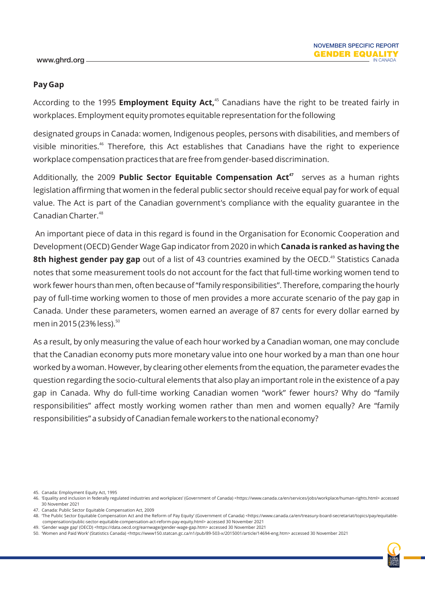#### **Pay Gap**

According to the 1995 **Employment Equity Act**,<sup>45</sup> Canadians have the right to be treated fairly in workplaces. Employment equity promotes equitable representation for the following

designated groups in Canada: women, Indigenous peoples, persons with disabilities, and members of visible minorities.<sup>46</sup> Therefore, this Act establishes that Canadians have the right to experience workplace compensation practices that are free from gender-based discrimination.

Additionally, the 2009 **Public Sector Equitable Compensation Act**<sup>47</sup> serves as a human rights legislation affirming that women in the federal public sector should receive equal pay for work of equal value. The Act is part of the Canadian government's compliance with the equality guarantee in the Canadian Charter.<sup>48</sup>

An important piece of data in this regard is found in the Organisation for Economic Cooperation and Development (OECD) Gender Wage Gap indicator from 2020 in which **Canada is ranked as having the**  8th highest gender pay gap out of a list of 43 countries examined by the OECD.<sup>49</sup> Statistics Canada notes that some measurement tools do not account for the fact that full-time working women tend to work fewer hours than men, often because of "family responsibilities". Therefore, comparing the hourly pay of full-time working women to those of men provides a more accurate scenario of the pay gap in Canada. Under these parameters, women earned an average of 87 cents for every dollar earned by men in 2015 (23% less).<sup>50</sup>

As a result, by only measuring the value of each hour worked by a Canadian woman, one may conclude that the Canadian economy puts more monetary value into one hour worked by a man than one hour worked by a woman. However, by clearing other elements from the equation, the parameter evades the question regarding the socio-cultural elements that also play an important role in the existence of a pay gap in Canada. Why do full-time working Canadian women "work" fewer hours? Why do "family responsibilities" affect mostly working women rather than men and women equally? Are "family responsibilities" a subsidy of Canadian female workers to the national economy?

45. Canada: Employment Equity Act, 1995

47. Canada: Public Sector Equitable Compensation Act, 2009

49. 'Gender wage gap' (OECD) <https://data.oecd.org/earnwage/gender-wage-gap.htm> accessed 30 November 2021



<sup>46. &#</sup>x27;Equality and inclusion in federally regulated industries and workplaces' (Government of Canada) <https://www.canada.ca/en/services/jobs/workplace/human-rights.html> accessed 30 November 2021

<sup>48. &#</sup>x27;The Public Sector Equitable Compensation Act and the Reform of Pay Equity' (Government of Canada) <https://www.canada.ca/en/treasury-board-secretariat/topics/pay/equitablecompensation/public-sector-equitable-compensation-act-reform-pay-equity.html> accessed 30 November 2021

<sup>50. &#</sup>x27;Women and Paid Work' (Statistics Canada) <https://www150.statcan.gc.ca/n1/pub/89-503-x/2015001/article/14694-eng.htm> accessed 30 November 2021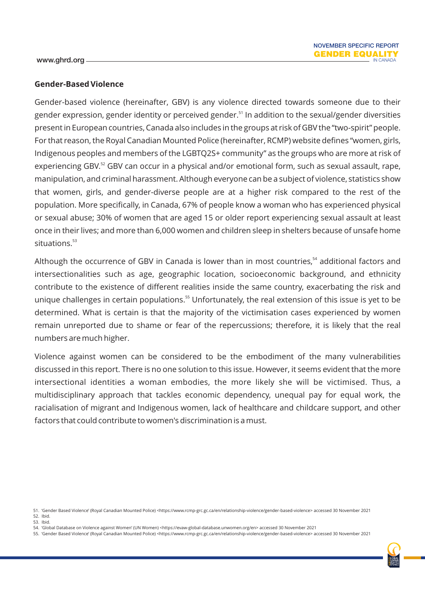#### **Gender-Based Violence**

Gender-based violence (hereinafter, GBV) is any violence directed towards someone due to their gender expression, gender identity or perceived gender.<sup>51</sup> In addition to the sexual/gender diversities present in European countries, Canada also includes in the groups at risk of GBV the "two-spirit" people. For that reason, the Royal Canadian Mounted Police (hereinafter, RCMP) website defines "women, girls, Indigenous peoples and members of the LGBTQ2S+ community" as the groups who are more at risk of experiencing GBV.<sup>52</sup> GBV can occur in a physical and/or emotional form, such as sexual assault, rape, manipulation, and criminal harassment. Although everyone can be a subject of violence, statistics show that women, girls, and gender-diverse people are at a higher risk compared to the rest of the population. More specifically, in Canada, 67% of people know a woman who has experienced physical or sexual abuse; 30% of women that are aged 15 or older report experiencing sexual assault at least once in their lives; and more than 6,000 women and children sleep in shelters because of unsafe home  $situations.<sup>53</sup>$ 

Although the occurrence of GBV in Canada is lower than in most countries.<sup>54</sup> additional factors and intersectionalities such as age, geographic location, socioeconomic background, and ethnicity contribute to the existence of different realities inside the same country, exacerbating the risk and unique challenges in certain populations.<sup>55</sup> Unfortunately, the real extension of this issue is yet to be determined. What is certain is that the majority of the victimisation cases experienced by women remain unreported due to shame or fear of the repercussions; therefore, it is likely that the real numbers are much higher.

Violence against women can be considered to be the embodiment of the many vulnerabilities discussed in this report. There is no one solution to this issue. However, it seems evident that the more intersectional identities a woman embodies, the more likely she will be victimised. Thus, a multidisciplinary approach that tackles economic dependency, unequal pay for equal work, the racialisation of migrant and Indigenous women, lack of healthcare and childcare support, and other factors that could contribute to women's discrimination is a must.

53. Ibid.

55. 'Gender Based Violence' (Royal Canadian Mounted Police) <https://www.rcmp-grc.gc.ca/en/relationship-violence/gender-based-violence> accessed 30 November 2021



<sup>51. &#</sup>x27;Gender Based Violence' (Royal Canadian Mounted Police) <https://www.rcmp-grc.gc.ca/en/relationship-violence/gender-based-violence> accessed 30 November 2021 52. Ibid.

<sup>54. &#</sup>x27;Global Database on Violence against Women' (UN Women) <https://evaw-global-database.unwomen.org/en> accessed 30 November 2021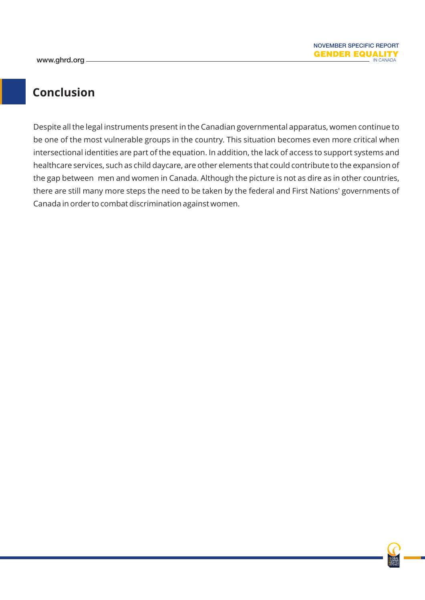### **Conclusion**

Despite all the legal instruments present in the Canadian governmental apparatus, women continue to be one of the most vulnerable groups in the country. This situation becomes even more critical when intersectional identities are part of the equation. In addition, the lack of access to support systems and healthcare services, such as child daycare, are other elements that could contribute to the expansion of the gap between men and women in Canada. Although the picture is not as dire as in other countries, there are still many more steps the need to be taken by the federal and First Nations' governments of Canada in order to combat discrimination against women.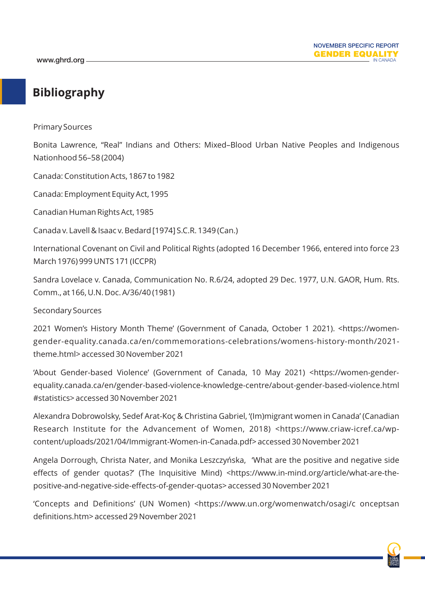### **Bibliography**

Primary Sources

Bonita Lawrence, "Real" Indians and Others: Mixed–Blood Urban Native Peoples and Indigenous Nationhood 56–58 (2004)

Canada: Constitution Acts, 1867 to 1982

Canada: Employment Equity Act, 1995

Canadian Human Rights Act, 1985

Canada v. Lavell & Isaac v. Bedard [1974] S.C.R. 1349 (Can.)

International Covenant on Civil and Political Rights (adopted 16 December 1966, entered into force 23 March 1976) 999 UNTS 171 (ICCPR)

Sandra Lovelace v. Canada, Communication No. R.6/24, adopted 29 Dec. 1977, U.N. GAOR, Hum. Rts. Comm., at 166, U.N. Doc. A/36/40 (1981)

Secondary Sources

2021 Women's History Month Theme' (Government of Canada, October 1 2021). <https://womengender-equality.canada.ca/en/commemorations-celebrations/womens-history-month/2021 theme.html> accessed 30 November 2021

'About Gender-based Violence' (Government of Canada, 10 May 2021) <https://women-genderequality.canada.ca/en/gender-based-violence-knowledge-centre/about-gender-based-violence.html #statistics> accessed 30 November 2021

Alexandra Dobrowolsky, Sedef Arat-Koç & Christina Gabriel, '(Im)migrant women in Canada' (Canadian Research Institute for the Advancement of Women, 2018) <https://www.criaw-icref.ca/wpcontent/uploads/2021/04/Immigrant-Women-in-Canada.pdf> accessed 30 November 2021

Angela Dorrough, Christa Nater, and Monika Leszczyńska, 'What are the positive and negative side effects of gender quotas?' (The Inquisitive Mind) <https://www.in-mind.org/article/what-are-thepositive-and-negative-side-effects-of-gender-quotas> accessed 30 November 2021

'Concepts and Definitions' (UN Women) <https://www.un.org/womenwatch/osagi/c onceptsan definitions.htm> accessed 29 November 2021

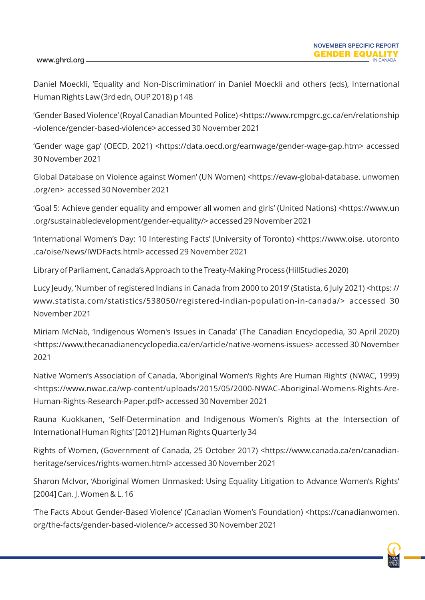#### www.ghrd.org -

Daniel Moeckli, 'Equality and Non-Discrimination' in Daniel Moeckli and others (eds), International Human Rights Law (3rd edn, OUP 2018) p 148

'Gender Based Violence' (Royal Canadian Mounted Police) <https://www.rcmpgrc.gc.ca/en/relationship -violence/gender-based-violence> accessed 30 November 2021

'Gender wage gap' (OECD, 2021) <https://data.oecd.org/earnwage/gender-wage-gap.htm> accessed 30 November 2021

Global Database on Violence against Women' (UN Women) <https://evaw-global-database. unwomen .org/en> accessed 30 November 2021

'Goal 5: Achieve gender equality and empower all women and girls' (United Nations) <https://www.un .org/sustainabledevelopment/gender-equality/> accessed 29 November 2021

'International Women's Day: 10 Interesting Facts' (University of Toronto) <https://www.oise. utoronto .ca/oise/News/IWDFacts.html> accessed 29 November 2021

Library of Parliament, Canada's Approach to the Treaty-Making Process (HillStudies 2020)

Lucy Jeudy, 'Number of registered Indians in Canada from 2000 to 2019' (Statista, 6 July 2021) <https: // www.statista.com/statistics/538050/registered-indian-population-in-canada/> accessed 30 November 2021

Miriam McNab, 'Indigenous Women's Issues in Canada' (The Canadian Encyclopedia, 30 April 2020) <https://www.thecanadianencyclopedia.ca/en/article/native-womens-issues> accessed 30 November 2021

Native Women's Association of Canada, 'Aboriginal Women's Rights Are Human Rights' (NWAC, 1999) <https://www.nwac.ca/wp-content/uploads/2015/05/2000-NWAC-Aboriginal-Womens-Rights-Are-Human-Rights-Research-Paper.pdf> accessed 30 November 2021

Rauna Kuokkanen, 'Self-Determination and Indigenous Women's Rights at the Intersection of International Human Rights' [2012] Human Rights Quarterly 34

Rights of Women, (Government of Canada, 25 October 2017) <https://www.canada.ca/en/canadianheritage/services/rights-women.html> accessed 30 November 2021

Sharon McIvor, 'Aboriginal Women Unmasked: Using Equality Litigation to Advance Women's Rights' [2004] Can. J. Women & L. 16

'The Facts About Gender-Based Violence' (Canadian Women's Foundation) <https://canadianwomen. org/the-facts/gender-based-violence/> accessed 30 November 2021

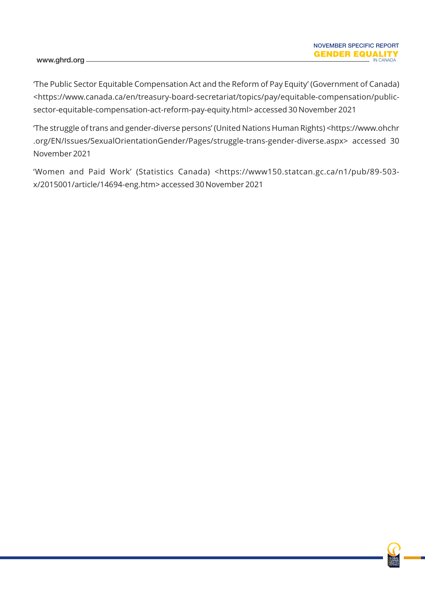'The Public Sector Equitable Compensation Act and the Reform of Pay Equity' (Government of Canada) <https://www.canada.ca/en/treasury-board-secretariat/topics/pay/equitable-compensation/publicsector-equitable-compensation-act-reform-pay-equity.html> accessed 30 November 2021

'The struggle of trans and gender-diverse persons' (United Nations Human Rights) <https://www.ohchr .org/EN/Issues/SexualOrientationGender/Pages/struggle-trans-gender-diverse.aspx> accessed 30 November 2021

'Women and Paid Work' (Statistics Canada) <https://www150.statcan.gc.ca/n1/pub/89-503 x/2015001/article/14694-eng.htm> accessed 30 November 2021